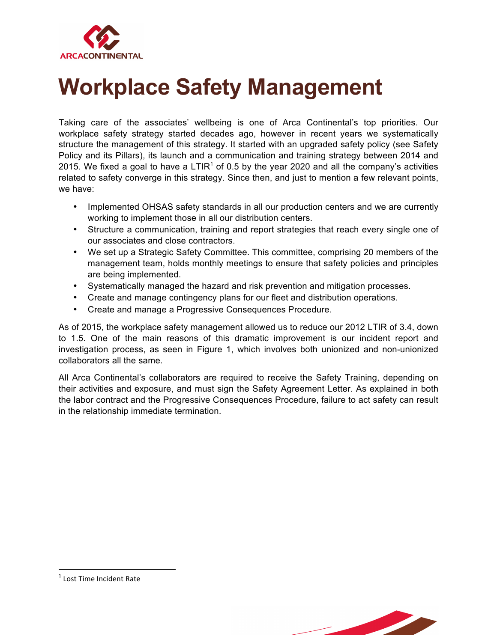

## **Workplace Safety Management**

Taking care of the associates' wellbeing is one of Arca Continental's top priorities. Our workplace safety strategy started decades ago, however in recent years we systematically structure the management of this strategy. It started with an upgraded safety policy (see Safety Policy and its Pillars), its launch and a communication and training strategy between 2014 and 2015. We fixed a goal to have a  $LTIR<sup>1</sup>$  of 0.5 by the year 2020 and all the company's activities related to safety converge in this strategy. Since then, and just to mention a few relevant points, we have:

- Implemented OHSAS safety standards in all our production centers and we are currently working to implement those in all our distribution centers.
- Structure a communication, training and report strategies that reach every single one of our associates and close contractors.
- We set up a Strategic Safety Committee. This committee, comprising 20 members of the management team, holds monthly meetings to ensure that safety policies and principles are being implemented.
- Systematically managed the hazard and risk prevention and mitigation processes.
- Create and manage contingency plans for our fleet and distribution operations.
- Create and manage a Progressive Consequences Procedure.

As of 2015, the workplace safety management allowed us to reduce our 2012 LTIR of 3.4, down to 1.5. One of the main reasons of this dramatic improvement is our incident report and investigation process, as seen in Figure 1, which involves both unionized and non-unionized collaborators all the same.

All Arca Continental's collaborators are required to receive the Safety Training, depending on their activities and exposure, and must sign the Safety Agreement Letter. As explained in both the labor contract and the Progressive Consequences Procedure, failure to act safety can result in the relationship immediate termination.



<u> 1989 - Johann Stein, marwolaethau a bh</u>

 $<sup>1</sup>$  Lost Time Incident Rate</sup>